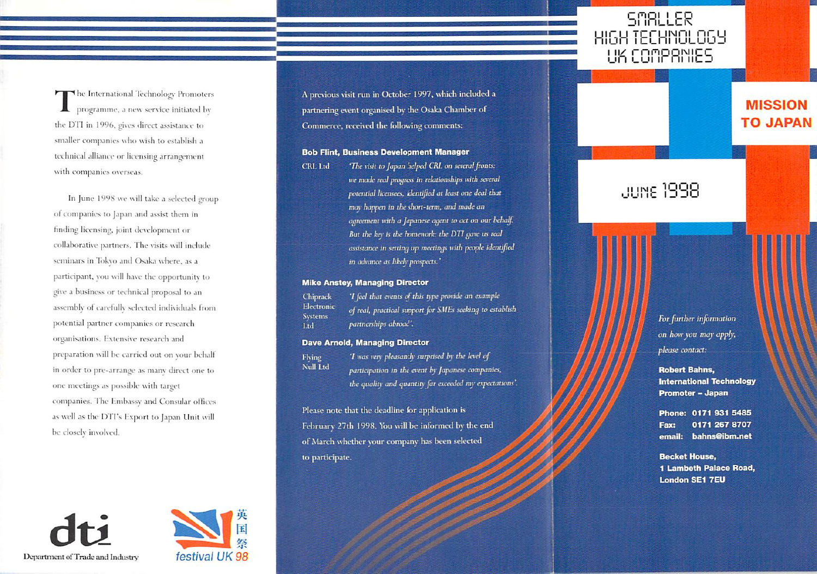The International Technology Promoters programme, a new service initiated by the DTI in 1996, gives direct assistance to smaller companies who wish to establish a technical alliance or licensing arrangement with companies overseas.

In June 1998 we will take a selected group of companies to Japan and assist them in finding licensing, joint development or collaborative partners. The visits will include seminars in Tokyo and Osaka where, as a participant, you will have the opportunity to give a business or technical proposal to an assembly of carefully selected individuals from potential partner companies or research organisations. Extensive research and preparation will be carried out on your behalf in order to pre-arrange as many direct one to one meetings as possible with target companies. The Embassy and Consular offices as well as the DTPs Export to Japan Unit will be closely involved.

Department of Trade and Industry



A previous visit run in October 1997, which included a partnering event organised by the Osaka Chamber of Commerce, received the following comments:

## **Bob Flint, Business Development Manager**

'The visit to Japan helped CRL on several fronts: **CRL** Ltd we made real progress in relationships with several potential licensees, identified at least one deal that may happen in the short-term, and made an agreement with a Japanese agent to act on our behalf. But the key is the homework: the DTI gave us real assistance in setting up meetings with people identified in advance as likely prospects.'

## **Mike Anstey, Managing Director**

'I feel that events of this type provide an example Chiprack Electronic of real, practical support for SMEs seeking to establish **Systems** partnerships abroad'.

## **Dave Arnold, Managing Director**

**Flving** Null Ltd

Ltd

'I was very pleasantly surprised by the level of participation in the event by Japanese companies, the quality and quantity far exceeded my expectations'.

Please note that the deadline for application is February 27th 1998. You will be informed by the end of March whether your company has been selected to participate.

**MISSION** 

**TO JAPAN** 

**SMALLER** HIGH TECHNOLOGY UK COMPANIES

มมหย 1998

For further information on how you may apply, please contact:

**Robert Bahns, International Technology Promoter - Japan** 

Phone: 0171 931 5485 0171 267 8707 Fax: email: bahns@ibm.net

**Becket House,** 1 Lambeth Palace Road, **London SE1 7EU**